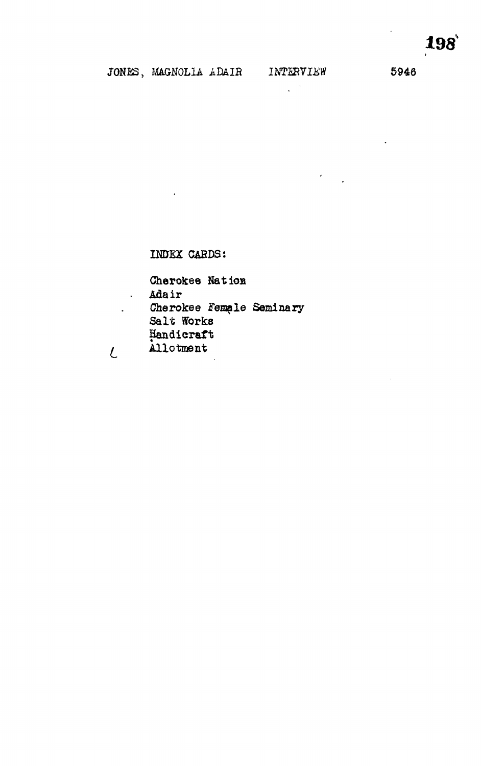$\sim$ 

 $\Delta \sim 10^4$ 

 $\mathcal{L}^{\text{max}}$ 

 $\overline{L}$ 

 $\mathcal{F}^{\text{max}}_{\text{max}}$ 

 $\sim$ 

## INDEX CARDS:

Cherokee Nation Adair Cherokee Female Seminary Salt Works Handicraft Allotment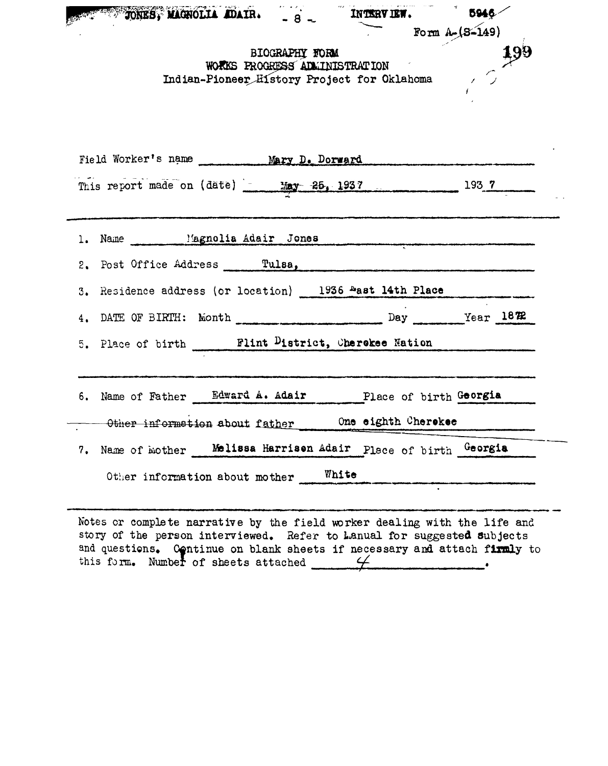|    |                                | BIOGRAPHY FORM<br>WORKS PROGRESS ADMINISTRATION |       | Indian-Pioneer History Project for Oklahoma              | Form $A - (8 - 149)$ | 199 |
|----|--------------------------------|-------------------------------------------------|-------|----------------------------------------------------------|----------------------|-----|
|    |                                |                                                 |       |                                                          |                      |     |
|    |                                |                                                 |       |                                                          |                      |     |
|    |                                |                                                 |       | Field Worker's name Mary D. Dorward                      |                      |     |
|    |                                |                                                 |       | This report made on (date) 1937 25, 1937 1937            |                      |     |
|    |                                |                                                 |       |                                                          |                      |     |
|    |                                |                                                 |       |                                                          |                      |     |
|    |                                |                                                 |       | 2. Post Office Address Tulsa,                            |                      |     |
|    |                                |                                                 |       | 3. Residence address (or location) 1936 hast 14th Place  |                      |     |
|    |                                |                                                 |       | 4. DATE OF BIRTH: Month Day Year 1872                    |                      |     |
|    |                                |                                                 |       |                                                          |                      |     |
|    |                                |                                                 |       |                                                          |                      |     |
|    |                                |                                                 |       | 6. Name of Father Edward A. Adair Place of birth Georgia |                      |     |
|    | Other information about father |                                                 |       | One eighth Cherokee                                      |                      |     |
| 7. | Name of mother                 |                                                 |       | Melissa Harrisen Adair Place of birth Georgia            |                      |     |
|    | Other information about mother |                                                 | White |                                                          |                      |     |
|    |                                |                                                 |       | 5. Place of birth Flint District, Cherokee Nation        |                      |     |

Notes or complete narrative by the field worker dealing with the life and story of the person interviewed. Refer to Lanual for suggested subjects and questions. Continue on blank sheets if necessary and attach firmly to this form. Number of sheets attached  $\leftarrow$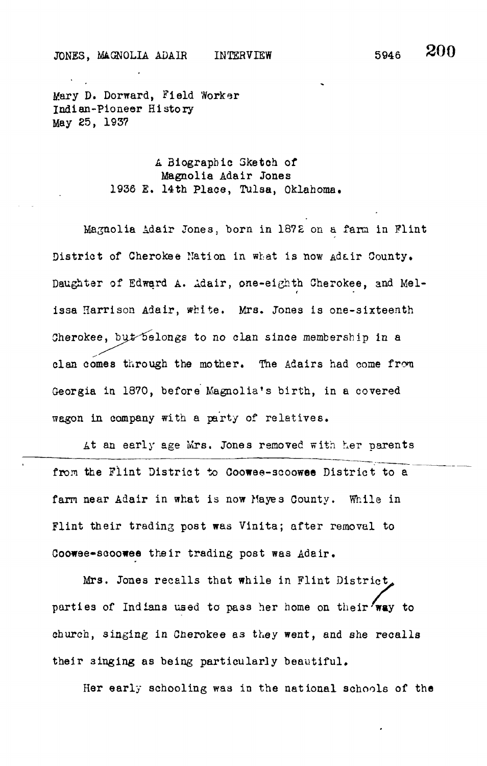Mary D. Dorward, Field Worker Indian-Pioneer History May 25, 1937

> A Biographic Sketch of Magnolia Adair Jones 1936 E. 14th Place, Tulsa, Oklahoma.

Magnolia Adair Jones, born in 1872 on a farm in Flint District of Cherokee Nation in what is now Adair County. Daughter of Edward A. Adair, one-eighth Cherokee, and Mel*t* issa Harrison Adair, white. Mrs. Jones is one-sixteenth Cherokee, but belongs to no clan since membership in a clan comes through the mother. The Adairs had come from Georgia in 1870, before Magnolia's birth, in a covered wagon in company with a party of relatives.

At an early age Mrs. Jones removed with her parents from the Flint District to Coowee-scoowee District to a farm near Adair in what is now Mayes County. While in Flint their trading post was Vinita; after removal to Coowee-sooowee their trading post was Adair.

Mrs. Jones recalls that while in Flint District, parties of Indians used to pass her home on their 'way to church, singing in Cnerokee as they went, and she recalls their 3inging as being particularly beautiful.

Her early schooling was in the national schools of the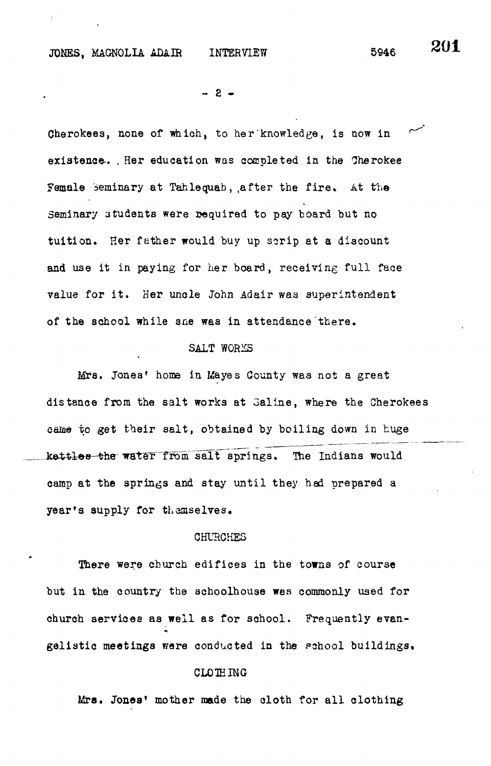$- 2 -$ 

Cherokees, none of which, to her knowledge, is now in existence-. . Her education was completed in the Oherokee Female Seminary at Tahlequab, after the fire. At the Seminary students were required to pay board but no tuition. Her father would buy up scrip at a discount and use it in paying for her board, receiving full face value for it. Her uncle John Adair was superintendent of the school while sne was in attendance there.

#### SALT WORKS

Mrs. Jones' home in Mayes County was not a great distance from the salt works at 3aline, where the Cherokees came to get their salt, obtained by boiling down in huge kettles the water from salt springs. The Indians would camp at the springs and stay until they had prepared a year's supply for themselves.

#### CHURCHES

There were church edifices in the towns of course but in the country the schoolhouse was commonly used for church services as well as for school. Frequently evangelistic meetings were conducted in the pchool buildings,

# CLOIHING

Mrs. Jones' mother made the cloth for all clothing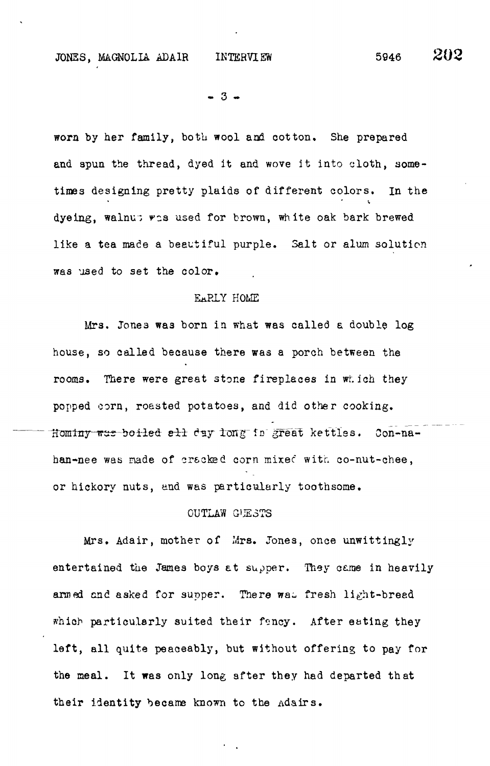JONES, MAGNOLIA ADAIR INTERVIEW 5946 202

 $-3 -$ 

worn by her family, both wool and cotton. She prepared and spun the thread, dyed it and wove it into cloth, sometimes designing pretty plaids of different colors, in the dyeing, walnu; was used for brown, white oak bark brewed like a tea made a beautiful purple. Salt or alum solution was used to set the color.

#### EARLY HOME

Mrs. Jone3 wa3 born in what was called a double log house, so called because there was a porch between the rooms. There were great stone fireplaces in which they popped corn, roasted potatoes, and did other cooking. Hominy was boiled all day long in great kettles. Con-nahan-nee was made of crscked corn mixec with co-nut-chee, or hickory nuts, and was particularly toothsome.

### OUTLAW G'JESTS

Mrs. Adair, mother of Mrs. Jones, once unwittingly entertained the James boys at supper. They came in heavily armed and asked for supper. There was fresh light-bread which particularly suited their fency. After eating they left, all quite peaceably, but without offering to pay for the meal. It was only long after they had departed that their identity became known to the Adairs.